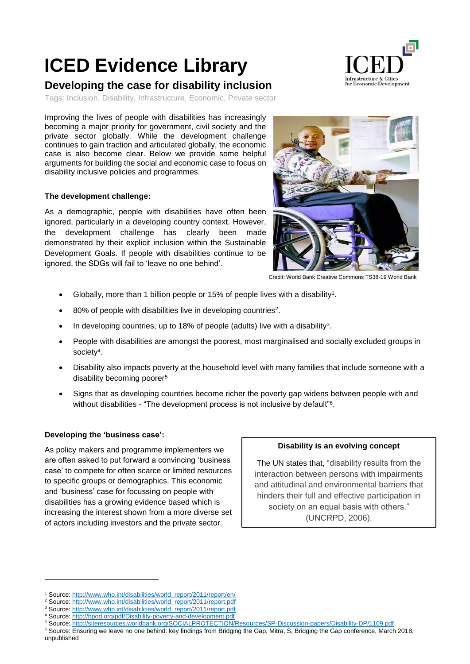# **ICED Evidence Library**

## **Developing the case for disability inclusion**

Tags: Inclusion, Disability, Infrastructure, Economic, Private sector

Improving the lives of people with disabilities has increasingly becoming a major priority for government, civil society and the private sector globally. While the development challenge continues to gain traction and articulated globally, the economic case is also become clear. Below we provide some helpful arguments for building the social and economic case to focus on disability inclusive policies and programmes.

### **The development challenge:**

As a demographic, people with disabilities have often been ignored, particularly in a developing country context. However, the development challenge has clearly been made demonstrated by their explicit inclusion within the Sustainable Development Goals. If people with disabilities continue to be ignored, the SDGs will fail to 'leave no one behind'.



Infrastructure & Cities or Economic Development

Credit: World Bank Creative Commons TS38-19 World Bank

- Globally, more than 1 billion people or 15% of people lives with a disability<sup>1</sup>.
- 80% of people with disabilities live in developing countries<sup>2</sup>.
- $\bullet$  In developing countries, up to 18% of people (adults) live with a disability<sup>3</sup>.
- People with disabilities are amongst the poorest, most marginalised and socially excluded groups in society<sup>4</sup>.
- Disability also impacts poverty at the household level with many families that include someone with a disability becoming poorer<sup>5</sup>
- Signs that as developing countries become richer the poverty gap widens between people with and without disabilities - "The development process is not inclusive by default"<sup>6</sup>.

#### **Developing the 'business case':**

1

As policy makers and programme implementers we are often asked to put forward a convincing 'business case' to compete for often scarce or limited resources to specific groups or demographics. This economic and 'business' case for focussing on people with disabilities has a growing evidence based which is increasing the interest shown from a more diverse set of actors including investors and the private sector.

#### **Disability is an evolving concept**

The UN states that, "disability results from the interaction between persons with impairments and attitudinal and environmental barriers that hinders their full and effective participation in society on an equal basis with others." (UNCRPD, 2006).

<sup>1</sup> Source[: http://www.who.int/disabilities/world\\_report/2011/report/en/](http://www.who.int/disabilities/world_report/2011/report/en/)

<sup>&</sup>lt;sup>2</sup> Source[: http://www.who.int/disabilities/world\\_report/2011/report.pdf](http://www.who.int/disabilities/world_report/2011/report.pdf)

<sup>3</sup> Source[: http://www.who.int/disabilities/world\\_report/2011/report.pdf](http://www.who.int/disabilities/world_report/2011/report.pdf)

<sup>4</sup> Source[: http://hpod.org/pdf/Disability-poverty-and-development.pdf](http://hpod.org/pdf/Disability-poverty-and-development.pdf)

<sup>5</sup> Source[: http://siteresources.worldbank.org/SOCIALPROTECTION/Resources/SP-Discussion-papers/Disability-DP/1109.pdf](http://siteresources.worldbank.org/SOCIALPROTECTION/Resources/SP-Discussion-papers/Disability-DP/1109.pdf)

<sup>6</sup> Source: Ensuring we leave no one behind: key findings from Bridging the Gap, Mitra, S, Bridging the Gap conference, March 2018, unpublished